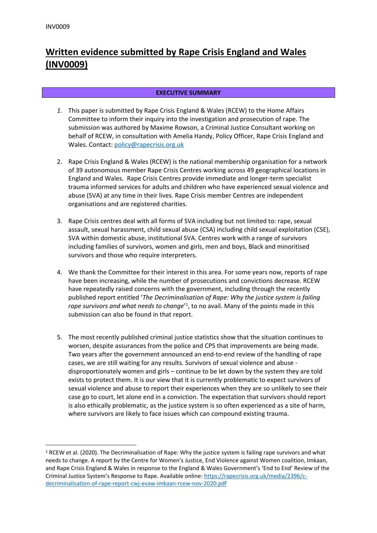# **Written evidence submitted by Rape Crisis England and Wales (INV0009)**

# **EXECUTIVE SUMMARY**

- *1.* This paper is submitted by Rape Crisis England & Wales (RCEW) to the Home Affairs Committee to inform their inquiry into the investigation and prosecution of rape. The submission was authored by Maxime Rowson, a Criminal Justice Consultant working on behalf of RCEW, in consultation with Amelia Handy, Policy Officer, Rape Crisis England and Wales. Contact: [policy@rapecrisis.org.uk](mailto:policy@rapecrisis.org.uk)
- 2. Rape Crisis England & Wales (RCEW) is the national membership organisation for a network of 39 autonomous member Rape Crisis Centres working across 49 geographical locations in England and Wales. Rape Crisis Centres provide immediate and longer-term specialist trauma informed services for adults and children who have experienced sexual violence and abuse (SVA) at any time in their lives. Rape Crisis member Centres are independent organisations and are registered charities.
- 3. Rape Crisis centres deal with all forms of SVA including but not limited to: rape, sexual assault, sexual harassment, child sexual abuse (CSA) including child sexual exploitation (CSE), SVA within domestic abuse, institutional SVA. Centres work with a range of survivors including families of survivors, women and girls, men and boys, Black and minoritised survivors and those who require interpreters.
- 4. We thank the Committee for their interest in this area. For some years now, reports of rape have been increasing, while the number of prosecutions and convictions decrease. RCEW have repeatedly raised concerns with the government, including through the recently published report entitled '*The Decriminalisation of Rape: Why the justice system is failing rape survivors and what needs to change*' 1 , to no avail. Many of the points made in this submission can also be found in that report.
- 5. The most recently published criminal justice statistics show that the situation continues to worsen, despite assurances from the police and CPS that improvements are being made. Two years after the government announced an end-to-end review of the handling of rape cases, we are still waiting for any results. Survivors of sexual violence and abuse disproportionately women and girls – continue to be let down by the system they are told exists to protect them. It is our view that it is currently problematic to expect survivors of sexual violence and abuse to report their experiences when they are so unlikely to see their case go to court, let alone end in a conviction. The expectation that survivors should report is also ethically problematic, as the justice system is so often experienced as a site of harm, where survivors are likely to face issues which can compound existing trauma.

<sup>&</sup>lt;sup>1</sup> RCEW et al. (2020). The Decriminalisation of Rape: Why the justice system is failing rape survivors and what needs to change. A report by the Centre for Women's Justice, End Violence against Women coalition, Imkaan, and Rape Crisis England & Wales in response to the England & Wales Government's 'End to End' Review of the Criminal Justice System's Response to Rape. Available online: [https://rapecrisis.org.uk/media/2396/c](https://rapecrisis.org.uk/media/2396/c-decriminalisation-of-rape-report-cwj-evaw-imkaan-rcew-nov-2020.pdf)[decriminalisation-of-rape-report-cwj-evaw-imkaan-rcew-nov-2020.pdf](https://rapecrisis.org.uk/media/2396/c-decriminalisation-of-rape-report-cwj-evaw-imkaan-rcew-nov-2020.pdf)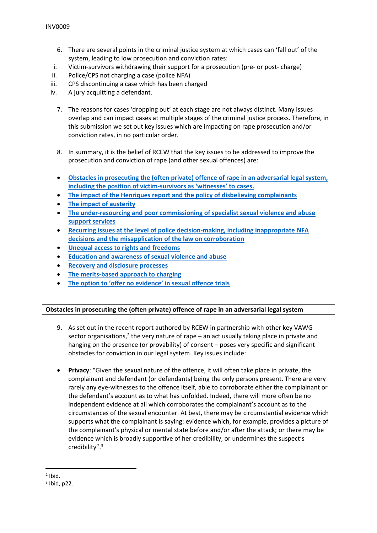- 6. There are several points in the criminal justice system at which cases can 'fall out' of the system, leading to low prosecution and conviction rates:
- i. Victim-survivors withdrawing their support for a prosecution (pre- or post- charge)
- ii. Police/CPS not charging a case (police NFA)
- iii. CPS discontinuing a case which has been charged
- iv. A jury acquitting a defendant.
	- 7. The reasons for cases 'dropping out' at each stage are not always distinct. Many issues overlap and can impact cases at multiple stages of the criminal justice process. Therefore, in this submission we set out key issues which are impacting on rape prosecution and/or conviction rates, in no particular order.
	- 8. In summary, it is the belief of RCEW that the key issues to be addressed to improve the prosecution and conviction of rape (and other sexual offences) are:
	- **[Obstacles](#page-1-0) [in](#page-1-0) [prosecuting](#page-1-0) [the](#page-1-0) [\(often](#page-1-0) [private\)](#page-1-0) [offence](#page-1-0) [of](#page-1-0) [rape](#page-1-0) [in](#page-1-0) [an](#page-1-0) [adversarial](#page-1-0) [legal](#page-1-0) [system,](#page-1-0) [including](#page-1-0) [the](#page-1-0) [position](#page-1-0) [of](#page-1-0) [victim-survivors](#page-1-0) [as](#page-1-0) ['witnesses'](#page-1-0) [to](#page-1-0) [cases.](#page-1-0)**
	- **[The](#page-3-0) [impact](#page-3-0) [of](#page-3-0) [the](#page-3-0) [Henriques](#page-3-0) [report](#page-3-0) [and](#page-3-0) [the](#page-3-0) [policy](#page-3-0) [of](#page-3-0) [disbelieving](#page-3-0) [complainants](#page-3-0)**
	- **[The](#page-4-0) [impact](#page-4-0) [of](#page-4-0) [austerity](#page-4-0)**
	- **[The](#page-5-0) [under-resourcing](#page-5-0) [and](#page-5-0) [poor](#page-5-0) [commissioning](#page-5-0) [of](#page-5-0) [specialist](#page-5-0) [sexual](#page-5-0) [violence](#page-5-0) [and](#page-5-0) [abuse](#page-5-0) [support](#page-5-0) [services](#page-5-0)**
	- **[Recurring](#page-7-0) [issues](#page-7-0) [at](#page-7-0) [the](#page-7-0) [level](#page-7-0) [of](#page-7-0) [police](#page-7-0) [decision-making,](#page-7-0) [including](#page-7-0) [inappropriate](#page-7-0) [NFA](#page-7-0) [decisions](#page-7-0) [and](#page-7-0) [the](#page-7-0) [misapplication](#page-7-0) [of](#page-7-0) [the](#page-7-0) [law](#page-7-0) [on](#page-7-0) [corroboration](#page-7-0)**
	- **[Unequal](#page-8-0) [access](#page-8-0) [to](#page-8-0) [rights](#page-8-0) [and](#page-8-0) [freedoms](#page-8-0)**
	- **[Education](#page-9-0) [and](#page-9-0) [awareness](#page-9-0) [of](#page-9-0) [sexual](#page-9-0) [violence](#page-9-0) [and](#page-9-0) [abuse](#page-9-0)**
	- **[Recovery](#page-10-0) [and](#page-10-0) [disclosure](#page-10-0) [processes](#page-10-0)**
	- **[The](#page-12-0) [merits-based](#page-12-0) [approach](#page-12-0) [to](#page-12-0) [charging](#page-12-0)**
	- **[The](#page-12-1) [option](#page-12-1) [to](#page-12-1) ['offer](#page-12-1) [no](#page-12-1) [evidence'](#page-12-1) [in](#page-12-1) [sexual](#page-12-1) [offence](#page-12-1) [trials](#page-12-1)**

# <span id="page-1-0"></span>**Obstacles in prosecuting the (often private) offence of rape in an adversarial legal system**

- 9. As set out in the recent report authored by RCEW in partnership with other key VAWG sector organisations,<sup>2</sup> the very nature of rape  $-$  an act usually taking place in private and hanging on the presence (or provability) of consent – poses very specific and significant obstacles for conviction in our legal system. Key issues include:
- **Privacy**: "Given the sexual nature of the offence, it will often take place in private, the complainant and defendant (or defendants) being the only persons present. There are very rarely any eye-witnesses to the offence itself, able to corroborate either the complainant or the defendant's account as to what has unfolded. Indeed, there will more often be no independent evidence at all which corroborates the complainant's account as to the circumstances of the sexual encounter. At best, there may be circumstantial evidence which supports what the complainant is saying: evidence which, for example, provides a picture of the complainant's physical or mental state before and/or after the attack; or there may be evidence which is broadly supportive of her credibility, or undermines the suspect's credibility".<sup>3</sup>

<sup>2</sup> Ibid.

 $3$  Ibid, p22.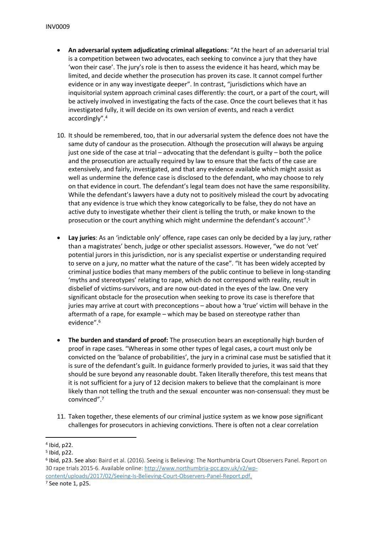- **An adversarial system adjudicating criminal allegations**: "At the heart of an adversarial trial is a competition between two advocates, each seeking to convince a jury that they have 'won their case'. The jury's role is then to assess the evidence it has heard, which may be limited, and decide whether the prosecution has proven its case. It cannot compel further evidence or in any way investigate deeper". In contrast, "jurisdictions which have an inquisitorial system approach criminal cases differently: the court, or a part of the court, will be actively involved in investigating the facts of the case. Once the court believes that it has investigated fully, it will decide on its own version of events, and reach a verdict accordingly".<sup>4</sup>
- 10. It should be remembered, too, that in our adversarial system the defence does not have the same duty of candour as the prosecution. Although the prosecution will always be arguing just one side of the case at trial – advocating that the defendant is guilty – both the police and the prosecution are actually required by law to ensure that the facts of the case are extensively, and fairly, investigated, and that any evidence available which might assist as well as undermine the defence case is disclosed to the defendant, who may choose to rely on that evidence in court. The defendant's legal team does not have the same responsibility. While the defendant's lawyers have a duty not to positively mislead the court by advocating that any evidence is true which they know categorically to be false, they do not have an active duty to investigate whether their client is telling the truth, or make known to the prosecution or the court anything which might undermine the defendant's account".<sup>5</sup>
- **Lay juries**: As an 'indictable only' offence, rape cases can only be decided by a lay jury, rather than a magistrates' bench, judge or other specialist assessors. However, "we do not 'vet' potential jurors in this jurisdiction, nor is any specialist expertise or understanding required to serve on a jury, no matter what the nature of the case". "It has been widely accepted by criminal justice bodies that many members of the public continue to believe in long-standing 'myths and stereotypes' relating to rape, which do not correspond with reality, result in disbelief of victims-survivors, and are now out-dated in the eyes of the law. One very significant obstacle for the prosecution when seeking to prove its case is therefore that juries may arrive at court with preconceptions – about how a 'true' victim will behave in the aftermath of a rape, for example – which may be based on stereotype rather than evidence".<sup>6</sup>
- **The burden and standard of proof:** The prosecution bears an exceptionally high burden of proof in rape cases. "Whereas in some other types of legal cases, a court must only be convicted on the 'balance of probabilities', the jury in a criminal case must be satisfied that it is sure of the defendant's guilt. In guidance formerly provided to juries, it was said that they should be sure beyond any reasonable doubt. Taken literally therefore, this test means that it is not sufficient for a jury of 12 decision makers to believe that the complainant is more likely than not telling the truth and the sexual encounter was non-consensual: they must be convinced".<sup>7</sup>
- 11. Taken together, these elements of our criminal justice system as we know pose significant challenges for prosecutors in achieving convictions. There is often not a clear correlation

<sup>4</sup> Ibid, p22.

<sup>5</sup> Ibid, p22.

<sup>6</sup> Ibid, p23. See also: Baird et al. (2016). Seeing is Believing: The Northumbria Court Observers Panel. Report on 30 rape trials 2015-6. Available online: [http://www.northumbria-pcc.gov.uk/v2/wp](http://www.northumbria-pcc.gov.uk/v2/wp-content/uploads/2017/02/Seeing-Is-Believing-Court-Observers-Panel-Report.pdf)[content/uploads/2017/02/Seeing-Is-Believing-Court-Observers-Panel-Report.pdf.](http://www.northumbria-pcc.gov.uk/v2/wp-content/uploads/2017/02/Seeing-Is-Believing-Court-Observers-Panel-Report.pdf)

<sup>7</sup> See note 1, p25.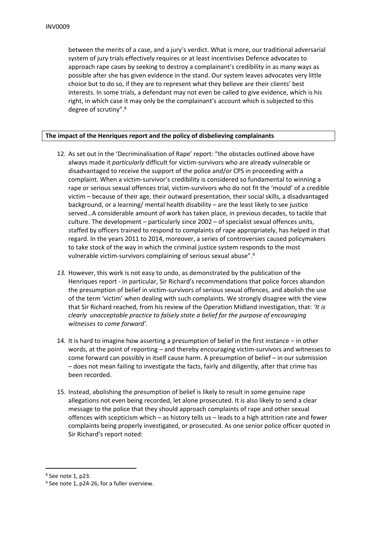between the merits of a case, and a jury's verdict. What is more, our traditional adversarial system of jury trials effectively requires or at least incentivises Defence advocates to approach rape cases by seeking to destroy a complainant's credibility in as many ways as possible after she has given evidence in the stand. Our system leaves advocates very little choice but to do so, if they are to represent what they believe are their clients' best interests. In some trials, a defendant may not even be called to give evidence, which is his right, in which case it may only be the complainant's account which is subjected to this degree of scrutiny".<sup>8</sup>

# <span id="page-3-0"></span>**The impact of the Henriques report and the policy of disbelieving complainants**

- 12. As set out in the 'Decriminalisation of Rape' report: "the obstacles outlined above have always made it *particularly* difficult for victim-survivors who are already vulnerable or disadvantaged to receive the support of the police and/or CPS in proceeding with a complaint. When a victim-survivor's credibility is considered so fundamental to winning a rape or serious sexual offences trial, victim-survivors who do not fit the 'mould' of a credible victim – because of their age, their outward presentation, their social skills, a disadvantaged background, or a learning/ mental health disability – are the least likely to see justice served…A considerable amount of work has taken place, in previous decades, to tackle that culture. The development – particularly since 2002 – of specialist sexual offences units, staffed by officers trained to respond to complaints of rape appropriately, has helped in that regard. In the years 2011 to 2014, moreover, a series of controversies caused policymakers to take stock of the way in which the criminal justice system responds to the most vulnerable victim-survivors complaining of serious sexual abuse".<sup>9</sup>
- *13.* However, this work is not easy to undo, as demonstrated by the publication of the Henriques report - in particular, Sir Richard's recommendations that police forces abandon the presumption of belief in victim-survivors of serious sexual offences, and abolish the use of the term 'victim' when dealing with such complaints. We strongly disagree with the view that Sir Richard reached, from his review of the Operation Midland investigation, that: *'It is clearly unacceptable practice to falsely state a belief for the purpose of encouraging witnesses to come forward'.*
- 14. It is hard to imagine how asserting a presumption of belief in the first instance in other words, at the point of reporting – and thereby encouraging victim-survivors and witnesses to come forward can possibly in itself cause harm. A presumption of belief – in our submission – does not mean failing to investigate the facts, fairly and diligently, after that crime has been recorded.
- 15. Instead, abolishing the presumption of belief is likely to result in some genuine rape allegations not even being recorded, let alone prosecuted. It is also likely to send a clear message to the police that they should approach complaints of rape and other sexual offences with scepticism which – as history tells us – leads to a high attrition rate and fewer complaints being properly investigated, or prosecuted. As one senior police officer quoted in Sir Richard's report noted:

<sup>8</sup> See note 1, p23.

<sup>&</sup>lt;sup>9</sup> See note 1, p24-26, for a fuller overview.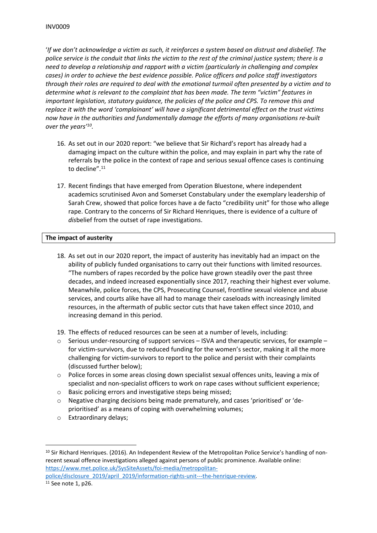'If we don't acknowledge a victim as such, it reinforces a system based on distrust and disbelief. The police service is the conduit that links the victim to the rest of the criminal justice system; there is a *need to develop a relationship and rapport with a victim (particularly in challenging and complex cases) in order to achieve the best evidence possible. Police officers and police staff investigators* through their roles are required to deal with the emotional turmoil often presented by a victim and to *determine what is relevant to the complaint that has been made. The term "victim" features in important legislation, statutory guidance, the policies of the police and CPS. To remove this and replace it with the word 'complainant' will have a significant detrimental effect on the trust victims now have in the authorities and fundamentally damage the efforts of many organisations re-built over the years'<sup>10</sup> .*

- 16. As set out in our 2020 report: "we believe that Sir Richard's report has already had a damaging impact on the culture within the police, and may explain in part why the rate of referrals by the police in the context of rape and serious sexual offence cases is continuing to decline".<sup>11</sup>
- 17. Recent findings that have emerged from Operation Bluestone, where independent academics scrutinised Avon and Somerset Constabulary under the exemplary leadership of Sarah Crew, showed that police forces have a de facto "credibility unit" for those who allege rape. Contrary to the concerns of Sir Richard Henriques, there is evidence of a culture of *dis*belief from the outset of rape investigations.

# <span id="page-4-0"></span>**The impact of austerity**

- 18. As set out in our 2020 report, the impact of austerity has inevitably had an impact on the ability of publicly funded organisations to carry out their functions with limited resources. "The numbers of rapes recorded by the police have grown steadily over the past three decades, and indeed increased exponentially since 2017, reaching their highest ever volume. Meanwhile, police forces, the CPS, Prosecuting Counsel, frontline sexual violence and abuse services, and courts alike have all had to manage their caseloads with increasingly limited resources, in the aftermath of public sector cuts that have taken effect since 2010, and increasing demand in this period.
- 19. The effects of reduced resources can be seen at a number of levels, including:
- $\circ$  Serious under-resourcing of support services ISVA and therapeutic services, for example for victim-survivors, due to reduced funding for the women's sector, making it all the more challenging for victim-survivors to report to the police and persist with their complaints (discussed further below);
- o Police forces in some areas closing down specialist sexual offences units, leaving a mix of specialist and non-specialist officers to work on rape cases without sufficient experience;
- o Basic policing errors and investigative steps being missed;
- $\circ$  Negative charging decisions being made prematurely, and cases 'prioritised' or 'deprioritised' as a means of coping with overwhelming volumes;
- o Extraordinary delays;

<sup>10</sup> Sir Richard Henriques. (2016). An Independent Review of the Metropolitan Police Service's handling of nonrecent sexual offence investigations alleged against persons of public prominence. Available online: [https://www.met.police.uk/SysSiteAssets/foi-media/metropolitan-](https://www.met.police.uk/SysSiteAssets/foi-media/metropolitan-police/disclosure_2019/april_2019/information-rights-unit---the-henrique-review)

[police/disclosure\\_2019/april\\_2019/information-rights-unit---the-henrique-review.](https://www.met.police.uk/SysSiteAssets/foi-media/metropolitan-police/disclosure_2019/april_2019/information-rights-unit---the-henrique-review) <sup>11</sup> See note 1, p26.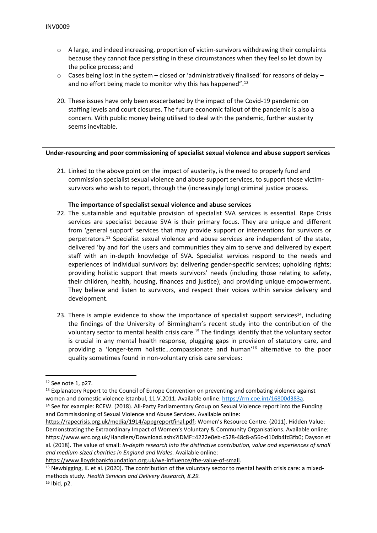- $\circ$  A large, and indeed increasing, proportion of victim-survivors withdrawing their complaints because they cannot face persisting in these circumstances when they feel so let down by the police process; and
- $\circ$  Cases being lost in the system closed or 'administratively finalised' for reasons of delay and no effort being made to monitor why this has happened".<sup>12</sup>
- 20. These issues have only been exacerbated by the impact of the Covid-19 pandemic on staffing levels and court closures. The future economic fallout of the pandemic is also a concern. With public money being utilised to deal with the pandemic, further austerity seems inevitable.

#### <span id="page-5-0"></span>**Under-resourcing and poor commissioning of specialist sexual violence and abuse support services**

21. Linked to the above point on the impact of austerity, is the need to properly fund and commission specialist sexual violence and abuse support services, to support those victimsurvivors who wish to report, through the (increasingly long) criminal justice process.

#### **The importance of specialist sexual violence and abuse services**

- 22. The sustainable and equitable provision of specialist SVA services is essential. Rape Crisis services are specialist because SVA is their primary focus. They are unique and different from 'general support' services that may provide support or interventions for survivors or perpetrators.<sup>13</sup> Specialist sexual violence and abuse services are independent of the state, delivered 'by and for' the users and communities they aim to serve and delivered by expert staff with an in-depth knowledge of SVA. Specialist services respond to the needs and experiences of individual survivors by: delivering gender-specific services; upholding rights; providing holistic support that meets survivors' needs (including those relating to safety, their children, health, housing, finances and justice); and providing unique empowerment. They believe and listen to survivors, and respect their voices within service delivery and development.
- 23. There is ample evidence to show the importance of specialist support services<sup>14</sup>, including the findings of the University of Birmingham's recent study into the contribution of the voluntary sector to mental health crisis care.<sup>15</sup> The findings identify that the voluntary sector is crucial in any mental health response, plugging gaps in provision of statutory care, and providing a 'longer-term holistic…compassionate and human'<sup>16</sup> alternative to the poor quality sometimes found in non-voluntary crisis care services:

<sup>12</sup> See note 1, p27.

<sup>&</sup>lt;sup>13</sup> Explanatory Report to the Council of Europe Convention on preventing and combating violence against women and domestic violence Istanbul, 11.V.2011. Available online: [https://rm.coe.int/16800d383a.](https://rm.coe.int/16800d383a)

<sup>14</sup> See for example: RCEW. (2018). All-Party Parliamentary Group on Sexual Violence report into the Funding and Commissioning of Sexual Violence and Abuse Services. Available online:

[https://rapecrisis.org.uk/media/1914/appgreportfinal.pdf;](https://rapecrisis.org.uk/media/1914/appgreportfinal.pdf) Women's Resource Centre. (2011). Hidden Value: Demonstrating the Extraordinary Impact of Women's Voluntary & Community Organisations. Available online: [https://www.wrc.org.uk/Handlers/Download.ashx?IDMF=4222e0eb-c528-48c8-a56c-d10db4fd3fb0;](https://www.wrc.org.uk/Handlers/Download.ashx?IDMF=4222e0eb-c528-48c8-a56c-d10db4fd3fb0) Dayson et al. (2018). The value of small: *In-depth research into the distinctive contribution, value and experiences of small and medium-sized charities in England and Wales.* Available online:

[https://www.lloydsbankfoundation.org.uk/we-influence/the-value-of-small.](https://www.lloydsbankfoundation.org.uk/we-influence/the-value-of-small)

<sup>&</sup>lt;sup>15</sup> Newbigging, K. et al. (2020). The contribution of the voluntary sector to mental health crisis care: a mixedmethods study. *Health Services and Delivery Research, 8.29.*

<sup>16</sup> Ibid*,* p2.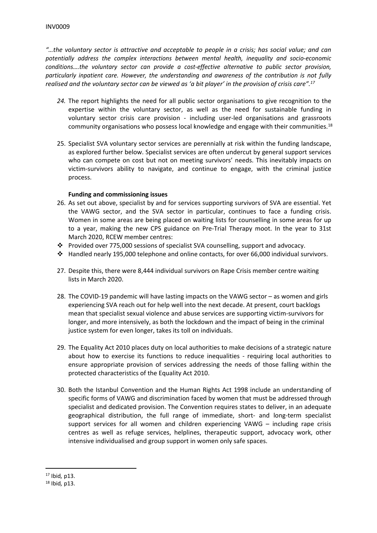*"…the voluntary sector is attractive and acceptable to people in a crisis; has social value; and can potentially address the complex interactions between mental health, inequality and socio-economic conditions….the voluntary sector can provide a cost-effective alternative to public sector provision, particularly inpatient care. However, the understanding and awareness of the contribution is not fully* realised and the voluntary sector can be viewed as 'a bit player' in the provision of crisis care".<sup>17</sup>

- *24.* The report highlights the need for all public sector organisations to give recognition to the expertise within the voluntary sector, as well as the need for sustainable funding in voluntary sector crisis care provision - including user-led organisations and grassroots community organisations who possess local knowledge and engage with their communities.<sup>18</sup>
- 25. Specialist SVA voluntary sector services are perennially at risk within the funding landscape, as explored further below. Specialist services are often undercut by general support services who can compete on cost but not on meeting survivors' needs. This inevitably impacts on victim-survivors ability to navigate, and continue to engage, with the criminal justice process.

# **Funding and commissioning issues**

- 26. As set out above, specialist by and for services supporting survivors of SVA are essential. Yet the VAWG sector, and the SVA sector in particular, continues to face a funding crisis. Women in some areas are being placed on waiting lists for counselling in some areas for up to a year, making the new CPS guidance on Pre-Trial Therapy moot. In the year to 31st March 2020, RCEW member centres:
- Provided over 775,000 sessions of specialist SVA counselling, support and advocacy.
- $\cdot \cdot$  Handled nearly 195,000 telephone and online contacts, for over 66,000 individual survivors.
- 27. Despite this, there were 8,444 individual survivors on Rape Crisis member centre waiting lists in March 2020.
- 28. The COVID-19 pandemic will have lasting impacts on the VAWG sector as women and girls experiencing SVA reach out for help well into the next decade. At present, court backlogs mean that specialist sexual violence and abuse services are supporting victim-survivors for longer, and more intensively, as both the lockdown and the impact of being in the criminal justice system for even longer, takes its toll on individuals.
- 29. The Equality Act 2010 places duty on local authorities to make decisions of a strategic nature about how to exercise its functions to reduce inequalities - requiring local authorities to ensure appropriate provision of services addressing the needs of those falling within the protected characteristics of the Equality Act 2010.
- 30. Both the Istanbul Convention and the Human Rights Act 1998 include an understanding of specific forms of VAWG and discrimination faced by women that must be addressed through specialist and dedicated provision. The Convention requires states to deliver, in an adequate geographical distribution, the full range of immediate, short- and long-term specialist support services for all women and children experiencing VAWG – including rape crisis centres as well as refuge services, helplines, therapeutic support, advocacy work, other intensive individualised and group support in women only safe spaces.

<sup>17</sup> Ibid*,* p13.

<sup>18</sup> Ibid*,* p13.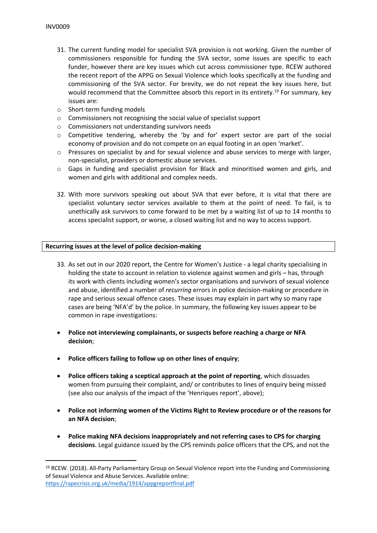- 31. The current funding model for specialist SVA provision is not working. Given the number of commissioners responsible for funding the SVA sector, some issues are specific to each funder, however there are key issues which cut across commissioner type. RCEW authored the recent report of the APPG on Sexual Violence which looks specifically at the funding and commissioning of the SVA sector. For brevity, we do not repeat the key issues here, but would recommend that the Committee absorb this report in its entirety.<sup>19</sup> For summary, key issues are:
- o Short-term funding models
- o Commissioners not recognising the social value of specialist support
- o Commissioners not understanding survivors needs
- $\circ$  Competitive tendering, whereby the 'by and for' expert sector are part of the social economy of provision and do not compete on an equal footing in an open 'market'.
- $\circ$  Pressures on specialist by and for sexual violence and abuse services to merge with larger, non-specialist, providers or domestic abuse services.
- o Gaps in funding and specialist provision for Black and minoritised women and girls, and women and girls with additional and complex needs.
- 32. With more survivors speaking out about SVA that ever before, it is vital that there are specialist voluntary sector services available to them at the point of need. To fail, is to unethically ask survivors to come forward to be met by a waiting list of up to 14 months to access specialist support, or worse, a closed waiting list and no way to access support.

#### <span id="page-7-0"></span>**Recurring issues at the level of police decision-making**

- 33. As set out in our 2020 report, the Centre for Women's Justice a legal charity specialising in holding the state to account in relation to violence against women and girls – has, through its work with clients including women's sector organisations and survivors of sexual violence and abuse, identified a number of *recurring* errors in police decision-making or procedure in rape and serious sexual offence cases. These issues may explain in part why so many rape cases are being 'NFA'd' by the police. In summary, the following key issues appear to be common in rape investigations:
- **Police not interviewing complainants, or suspects before reaching a charge or NFA decision**;
- **Police officers failing to follow up on other lines of enquiry**;
- **Police officers taking a sceptical approach at the point of reporting**, which dissuades women from pursuing their complaint, and/ or contributes to lines of enquiry being missed (see also our analysis of the impact of the 'Henriques report', above);
- **Police not informing women of the Victims Right to Review procedure or of the reasons for an NFA decision**;
- **Police making NFA decisions inappropriately and not referring cases to CPS for charging decisions**. Legal guidance issued by the CPS reminds police officers that the CPS, and not the

<sup>19</sup> RCEW. (2018). All-Party Parliamentary Group on Sexual Violence report into the Funding and Commissioning of Sexual Violence and Abuse Services. Available online: <https://rapecrisis.org.uk/media/1914/appgreportfinal.pdf>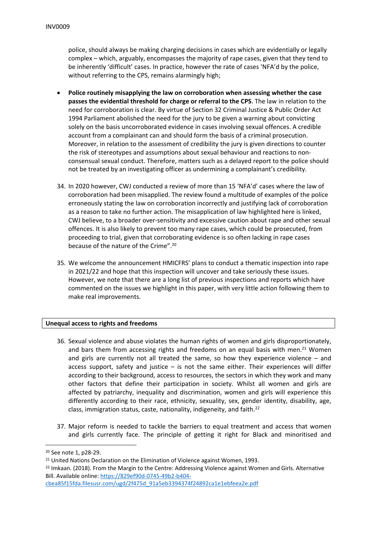police, should always be making charging decisions in cases which are evidentially or legally complex – which, arguably, encompasses the majority of rape cases, given that they tend to be inherently 'difficult' cases. In practice, however the rate of cases 'NFA'd by the police, without referring to the CPS, remains alarmingly high;

- **Police routinely misapplying the law on corroboration when assessing whether the case passes the evidential threshold for charge or referral to the CPS**. The law in relation to the need for corroboration is clear. By virtue of Section 32 Criminal Justice & Public Order Act 1994 Parliament abolished the need for the jury to be given a warning about convicting solely on the basis uncorroborated evidence in cases involving sexual offences. A credible account from a complainant can and should form the basis of a criminal prosecution. Moreover, in relation to the assessment of credibility the jury is given directions to counter the risk of stereotypes and assumptions about sexual behaviour and reactions to nonconsensual sexual conduct. Therefore, matters such as a delayed report to the police should not be treated by an investigating officer as undermining a complainant's credibility.
- 34. In 2020 however, CWJ conducted a review of more than 15 'NFA'd' cases where the law of corroboration had been misapplied. The review found a multitude of examples of the police erroneously stating the law on corroboration incorrectly and justifying lack of corroboration as a reason to take no further action. The misapplication of law highlighted here is linked, CWJ believe, to a broader over-sensitivity and excessive caution about rape and other sexual offences. It is also likely to prevent too many rape cases, which could be prosecuted, from proceeding to trial, given that corroborating evidence is so often lacking in rape cases because of the nature of the Crime".<sup>20</sup>
- 35. We welcome the announcement HMICFRS' plans to conduct a thematic inspection into rape in 2021/22 and hope that this inspection will uncover and take seriously these issues. However, we note that there are a long list of previous inspections and reports which have commented on the issues we highlight in this paper, with very little action following them to make real improvements.

# <span id="page-8-0"></span>**Unequal access to rights and freedoms**

- 36. Sexual violence and abuse violates the human rights of women and girls disproportionately, and bars them from accessing rights and freedoms on an equal basis with men.<sup>21</sup> Women and girls are currently not all treated the same, so how they experience violence  $-$  and access support, safety and justice  $-$  is not the same either. Their experiences will differ according to their background, access to resources, the sectors in which they work and many other factors that define their participation in society. Whilst all women and girls are affected by patriarchy, inequality and discrimination, women and girls will experience this differently according to their race, ethnicity, sexuality, sex, gender identity, disability, age, class, immigration status, caste, nationality, indigeneity, and faith.<sup>22</sup>
- 37. Major reform is needed to tackle the barriers to equal treatment and access that women and girls currently face. The principle of getting it right for Black and minoritised and

[cbea85f15fda.filesusr.com/ugd/2f475d\\_91a5eb3394374f24892ca1e1ebfeea2e.pdf](https://829ef90d-0745-49b2-b404-cbea85f15fda.filesusr.com/ugd/2f475d_91a5eb3394374f24892ca1e1ebfeea2e.pdf)

<sup>20</sup> See note 1, p28-29.

<sup>&</sup>lt;sup>21</sup> United Nations Declaration on the Elimination of Violence against Women, 1993.

<sup>&</sup>lt;sup>22</sup> Imkaan. (2018). From the Margin to the Centre: Addressing Violence against Women and Girls. Alternative Bill. Available online: [https://829ef90d-0745-49b2-b404-](https://829ef90d-0745-49b2-b404-cbea85f15fda.filesusr.com/ugd/2f475d_91a5eb3394374f24892ca1e1ebfeea2e.pdf)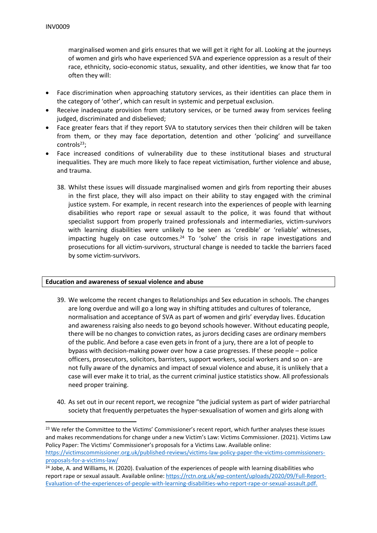marginalised women and girls ensures that we will get it right for all. Looking at the journeys of women and girls who have experienced SVA and experience oppression as a result of their race, ethnicity, socio-economic status, sexuality, and other identities, we know that far too often they will:

- Face discrimination when approaching statutory services, as their identities can place them in the category of 'other', which can result in systemic and perpetual exclusion.
- Receive inadequate provision from statutory services, or be turned away from services feeling judged, discriminated and disbelieved;
- Face greater fears that if they report SVA to statutory services then their children will be taken from them, or they may face deportation, detention and other 'policing' and surveillance controls<sup>23</sup>;
- Face increased conditions of vulnerability due to these institutional biases and structural inequalities. They are much more likely to face repeat victimisation, further violence and abuse, and trauma.
	- 38. Whilst these issues will dissuade marginalised women and girls from reporting their abuses in the first place, they will also impact on their ability to stay engaged with the criminal justice system. For example, in recent research into the experiences of people with learning disabilities who report rape or sexual assault to the police, it was found that without specialist support from properly trained professionals and intermediaries, victim-survivors with learning disabilities were unlikely to be seen as 'credible' or 'reliable' witnesses, impacting hugely on case outcomes.<sup>24</sup> To 'solve' the crisis in rape investigations and prosecutions for all victim-survivors, structural change is needed to tackle the barriers faced by some victim-survivors.

#### <span id="page-9-0"></span>**Education and awareness of sexual violence and abuse**

- 39. We welcome the recent changes to Relationships and Sex education in schools. The changes are long overdue and will go a long way in shifting attitudes and cultures of tolerance, normalisation and acceptance of SVA as part of women and girls' everyday lives. Education and awareness raising also needs to go beyond schools however. Without educating people, there will be no changes to conviction rates, as jurors deciding cases are ordinary members of the public. And before a case even gets in front of a jury, there are a lot of people to bypass with decision-making power over how a case progresses. If these people – police officers, prosecutors, solicitors, barristers, support workers, social workers and so on - are not fully aware of the dynamics and impact of sexual violence and abuse, it is unlikely that a case will ever make it to trial, as the current criminal justice statistics show. All professionals need proper training.
- 40. As set out in our recent report, we recognize "the judicial system as part of wider patriarchal society that frequently perpetuates the hyper-sexualisation of women and girls along with

<sup>&</sup>lt;sup>23</sup> We refer the Committee to the Victims' Commissioner's recent report, which further analyses these issues and makes recommendations for change under a new Victim's Law: Victims Commissioner. (2021). Victims Law Policy Paper: The Victims' Commissioner's proposals for a Victims Law. Available online: [https://victimscommissioner.org.uk/published-reviews/victims-law-policy-paper-the-victims-commissioners](https://victimscommissioner.org.uk/published-reviews/victims-law-policy-paper-the-victims-commissioners-proposals-for-a-victims-law/)[proposals-for-a-victims-law/](https://victimscommissioner.org.uk/published-reviews/victims-law-policy-paper-the-victims-commissioners-proposals-for-a-victims-law/)

<sup>&</sup>lt;sup>24</sup> Jobe, A. and Williams, H. (2020). Evaluation of the experiences of people with learning disabilities who report rape or sexual assault. Available online: [https://rctn.org.uk/wp-content/uploads/2020/09/Full-Report-](https://rctn.org.uk/wp-content/uploads/2020/09/Full-Report-Evaluation-of-the-experiences-of-people-with-learning-disabilities-who-report-rape-or-sexual-assault.pdf)[Evaluation-of-the-experiences-of-people-with-learning-disabilities-who-report-rape-or-sexual-assault.pdf.](https://rctn.org.uk/wp-content/uploads/2020/09/Full-Report-Evaluation-of-the-experiences-of-people-with-learning-disabilities-who-report-rape-or-sexual-assault.pdf)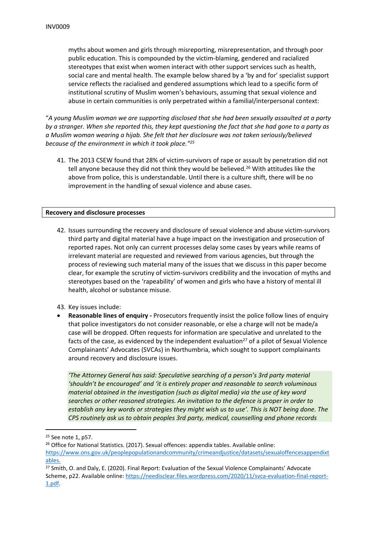myths about women and girls through misreporting, misrepresentation, and through poor public education. This is compounded by the victim-blaming, gendered and racialized stereotypes that exist when women interact with other support services such as health, social care and mental health. The example below shared by a 'by and for' specialist support service reflects the racialised and gendered assumptions which lead to a specific form of institutional scrutiny of Muslim women's behaviours, assuming that sexual violence and abuse in certain communities is only perpetrated within a familial/interpersonal context:

"*A young Muslim woman we are supporting disclosed that she had been sexually assaulted at a party* by a stranger. When she reported this, they kept questioning the fact that she had gone to a party as *a Muslim woman wearing a hijab. She felt that her disclosure was not taken seriously/believed because of the environment in which it took place."<sup>25</sup>*

41. The 2013 CSEW found that 28% of victim-survivors of rape or assault by penetration did not tell anyone because they did not think they would be believed.<sup>26</sup> With attitudes like the above from police, this is understandable. Until there is a culture shift, there will be no improvement in the handling of sexual violence and abuse cases.

#### <span id="page-10-0"></span>**Recovery and disclosure processes**

- 42. Issues surrounding the recovery and disclosure of sexual violence and abuse victim-survivors third party and digital material have a huge impact on the investigation and prosecution of reported rapes. Not only can current processes delay some cases by years while reams of irrelevant material are requested and reviewed from various agencies, but through the process of reviewing such material many of the issues that we discuss in this paper become clear, for example the scrutiny of victim-survivors credibility and the invocation of myths and stereotypes based on the 'rapeability' of women and girls who have a history of mental ill health, alcohol or substance misuse.
- 43. Key issues include:
- **Reasonable lines of enquiry -** Prosecutors frequently insist the police follow lines of enquiry that police investigators do not consider reasonable, or else a charge will not be made/a case will be dropped. Often requests for information are speculative and unrelated to the facts of the case, as evidenced by the independent evaluation<sup>27</sup> of a pilot of Sexual Violence Complainants' Advocates (SVCAs) in Northumbria, which sought to support complainants around recovery and disclosure issues.

*'The Attorney General has said: Speculative searching of a person's 3rd party material 'shouldn't be encouraged' and 'it is entirely proper and reasonable to search voluminous material obtained in the investigation (such as digital media) via the use of key word searches or other reasoned strategies. An invitation to the defence is proper in order to establish any key words or strategies they might wish us to use'. This is NOT being done. The CPS routinely ask us to obtain peoples 3rd party, medical, counselling and phone records*

<sup>25</sup> See note 1, p57.

<sup>&</sup>lt;sup>26</sup> Office for National Statistics. (2017). Sexual offences: appendix tables. Available online:

[https://www.ons.gov.uk/peoplepopulationandcommunity/crimeandjustice/datasets/sexualoffencesappendixt](https://www.ons.gov.uk/peoplepopulationandcommunity/crimeandjustice/datasets/sexualoffencesappendixtables) [ables](https://www.ons.gov.uk/peoplepopulationandcommunity/crimeandjustice/datasets/sexualoffencesappendixtables).

<sup>&</sup>lt;sup>27</sup> Smith, O. and Daly, E. (2020). Final Report: Evaluation of the Sexual Violence Complainants' Advocate Scheme, p22. Available online: [https://needisclear.files.wordpress.com/2020/11/svca-evaluation-final-report-](https://needisclear.files.wordpress.com/2020/11/svca-evaluation-final-report-1.pdf)[1.pdf](https://needisclear.files.wordpress.com/2020/11/svca-evaluation-final-report-1.pdf).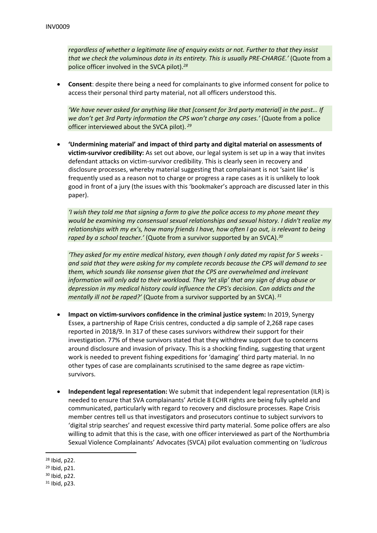*regardless of whether a legitimate line of enquiry exists or not. Further to that they insist that we check the voluminous data in its entirety. This is usually PRE-CHARGE.'* (Quote from a police officer involved in the SVCA pilot).*<sup>28</sup>*

 **Consent**: despite there being a need for complainants to give informed consent for police to access their personal third party material, not all officers understood this.

*'We have never asked for anything like that [consent for 3rd party material] in the past… If we don't get 3rd Party information the CPS won't charge any cases.'* (Quote from a police officer interviewed about the SVCA pilot). *<sup>29</sup>*

 **'Undermining material' and impact of third party and digital material on assessments of victim-survivor credibility:** As set out above, our legal system is set up in a way that invites defendant attacks on victim-survivor credibility. This is clearly seen in recovery and disclosure processes, whereby material suggesting that complainant is not 'saint like' is frequently used as a reason not to charge or progress a rape cases as it is unlikely to look good in front of a jury (the issues with this 'bookmaker's approach are discussed later in this paper).

*'I wish they told me that signing a form to give the police access to my phone meant they would be examining my consensual sexual relationships and sexual history. I didn't realize my relationships with my ex's, how many friends I have, how often I go out, is relevant to being raped by a school teacher.'* (Quote from a survivor supported by an SVCA).*<sup>30</sup>*

*'They asked for my entire medical history, even though I only dated my rapist for 5 weeks and said that they were asking for my complete records because the CPS will demand to see them, which sounds like nonsense given that the CPS are overwhelmed and irrelevant information will only add to their workload. They 'let slip' that any sign of drug abuse or depression in my medical history could influence the CPS's decision. Can addicts and the mentally ill not be raped?'* (Quote from a survivor supported by an SVCA). *<sup>31</sup>*

- **Impact on victim-survivors confidence in the criminal justice system:** In 2019, Synergy Essex, a partnership of Rape Crisis centres, conducted a dip sample of 2,268 rape cases reported in 2018/9. In 317 of these cases survivors withdrew their support for their investigation. 77% of these survivors stated that they withdrew support due to concerns around disclosure and invasion of privacy. This is a shocking finding, suggesting that urgent work is needed to prevent fishing expeditions for 'damaging' third party material. In no other types of case are complainants scrutinised to the same degree as rape victimsurvivors.
- **Independent legal representation:** We submit that independent legal representation (ILR) is needed to ensure that SVA complainants' Article 8 ECHR rights are being fully upheld and communicated, particularly with regard to recovery and disclosure processes. Rape Crisis member centres tell us that investigators and prosecutors continue to subject survivors to 'digital strip searches' and request excessive third party material. Some police offers are also willing to admit that this is the case, with one officer interviewed as part of the Northumbria Sexual Violence Complainants' Advocates (SVCA) pilot evaluation commenting on '*ludicrous*

<sup>28</sup> Ibid, p22.

<sup>29</sup> Ibid, p21.

<sup>30</sup> Ibid, p22.

<sup>31</sup> Ibid, p23.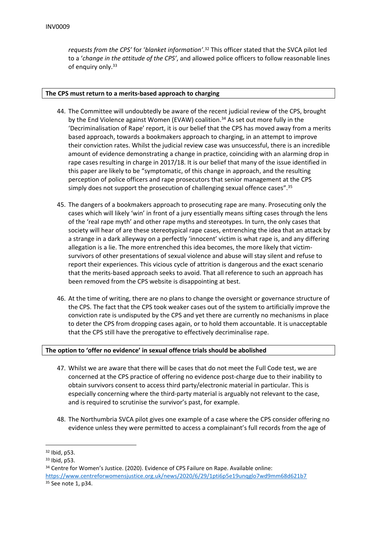*requests from the CPS'* for '*blanket information'*. <sup>32</sup> This officer stated that the SVCA pilot led to a '*change in the attitude of the CPS'*, and allowed police officers to follow reasonable lines of enquiry only.<sup>33</sup>

#### <span id="page-12-0"></span>**The CPS must return to a merits-based approach to charging**

- 44. The Committee will undoubtedly be aware of the recent judicial review of the CPS, brought by the End Violence against Women (EVAW) coalition.<sup>34</sup> As set out more fully in the 'Decriminalisation of Rape' report, it is our belief that the CPS has moved away from a merits based approach, towards a bookmakers approach to charging, in an attempt to improve their conviction rates. Whilst the judicial review case was unsuccessful, there is an incredible amount of evidence demonstrating a change in practice, coinciding with an alarming drop in rape cases resulting in charge in 2017/18. It is our belief that many of the issue identified in this paper are likely to be "symptomatic, of this change in approach, and the resulting perception of police officers and rape prosecutors that senior management at the CPS simply does not support the prosecution of challenging sexual offence cases".<sup>35</sup>
- 45. The dangers of a bookmakers approach to prosecuting rape are many. Prosecuting only the cases which will likely 'win' in front of a jury essentially means sifting cases through the lens of the 'real rape myth' and other rape myths and stereotypes. In turn, the only cases that society will hear of are these stereotypical rape cases, entrenching the idea that an attack by a strange in a dark alleyway on a perfectly 'innocent' victim is what rape is, and any differing allegation is a lie. The more entrenched this idea becomes, the more likely that victimsurvivors of other presentations of sexual violence and abuse will stay silent and refuse to report their experiences. This vicious cycle of attrition is dangerous and the exact scenario that the merits-based approach seeks to avoid. That all reference to such an approach has been removed from the CPS website is disappointing at best.
- 46. At the time of writing, there are no plans to change the oversight or governance structure of the CPS. The fact that the CPS took weaker cases out of the system to artificially improve the conviction rate is undisputed by the CPS and yet there are currently no mechanisms in place to deter the CPS from dropping cases again, or to hold them accountable. It is unacceptable that the CPS still have the prerogative to effectively decriminalise rape.

#### <span id="page-12-1"></span>**The option to 'offer no evidence' in sexual offence trials should be abolished**

- 47. Whilst we are aware that there will be cases that do not meet the Full Code test, we are concerned at the CPS practice of offering no evidence post-charge due to their inability to obtain survivors consent to access third party/electronic material in particular. This is especially concerning where the third-party material is arguably not relevant to the case, and is required to scrutinise the survivor's past, for example.
- 48. The Northumbria SVCA pilot gives one example of a case where the CPS consider offering no evidence unless they were permitted to access a complainant's full records from the age of

<https://www.centreforwomensjustice.org.uk/news/2020/6/29/1pti6p5e19unqglo7wd9mm68d621b7> <sup>35</sup> See note 1, p34.

<sup>32</sup> Ibid, p53.

<sup>33</sup> Ibid, p53.

<sup>34</sup> Centre for Women's Justice. (2020). Evidence of CPS Failure on Rape. Available online: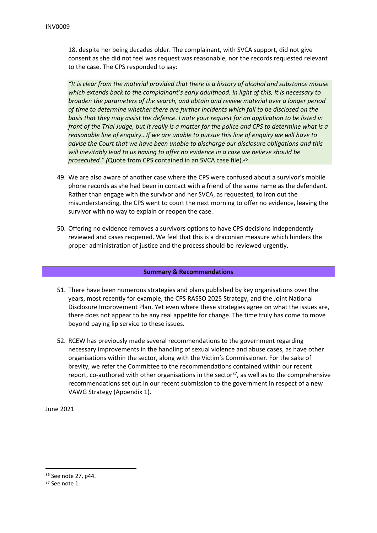18, despite her being decades older. The complainant, with SVCA support, did not give consent as she did not feel was request was reasonable, nor the records requested relevant to the case. The CPS responded to say:

*"It is clear from the material provided that there is a history of alcohol and substance misuse which extends back to the complainant's early adulthood. In light of this, it is necessary to broaden the parameters of the search, and obtain and review material over a longer period of time to determine whether there are further incidents which fall to be disclosed on the basis that they may assist the defence. I note your request for an application to be listed in* front of the Trial Judge, but it really is a matter for the police and CPS to determine what is a *reasonable line of enquiry…If we are unable to pursue this line of enquiry we will have to advise the Court that we have been unable to discharge our disclosure obligations and this will inevitably lead to us having to offer no evidence in a case we believe should be prosecuted." (*Quote from CPS contained in an SVCA case file).*<sup>36</sup>*

- 49. We are also aware of another case where the CPS were confused about a survivor's mobile phone records as she had been in contact with a friend of the same name as the defendant. Rather than engage with the survivor and her SVCA, as requested, to iron out the misunderstanding, the CPS went to court the next morning to offer no evidence, leaving the survivor with no way to explain or reopen the case.
- 50. Offering no evidence removes a survivors options to have CPS decisions independently reviewed and cases reopened. We feel that this is a draconian measure which hinders the proper administration of justice and the process should be reviewed urgently.

# **Summary & Recommendations**

- 51. There have been numerous strategies and plans published by key organisations over the years, most recently for example, the CPS RASSO 2025 Strategy, and the Joint National Disclosure Improvement Plan. Yet even where these strategies agree on what the issues are, there does not appear to be any real appetite for change. The time truly has come to move beyond paying lip service to these issues.
- 52. RCEW has previously made several recommendations to the government regarding necessary improvements in the handling of sexual violence and abuse cases, as have other organisations within the sector, along with the Victim's Commissioner. For the sake of brevity, we refer the Committee to the recommendations contained within our recent report, co-authored with other organisations in the sector<sup>37</sup>, as well as to the comprehensive recommendations set out in our recent submission to the government in respect of a new VAWG Strategy (Appendix 1).

June 2021

<sup>36</sup> See note 27, p44.

<sup>37</sup> See note 1.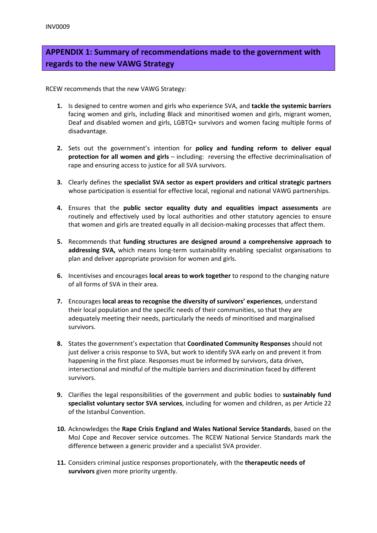# **APPENDIX 1: Summary of recommendations made to the government with regards to the new VAWG Strategy**

RCEW recommends that the new VAWG Strategy:

- **1.** Is designed to centre women and girls who experience SVA, and **tackle the systemic barriers** facing women and girls, including Black and minoritised women and girls, migrant women, Deaf and disabled women and girls, LGBTQ+ survivors and women facing multiple forms of disadvantage.
- **2.** Sets out the government's intention for **policy and funding reform to deliver equal protection for all women and girls** – including: reversing the effective decriminalisation of rape and ensuring access to justice for all SVA survivors.
- **3.** Clearly defines the **specialist SVA sector as expert providers and critical strategic partners** whose participation is essential for effective local, regional and national VAWG partnerships.
- **4.** Ensures that the **public sector equality duty and equalities impact assessments** are routinely and effectively used by local authorities and other statutory agencies to ensure that women and girls are treated equally in all decision-making processes that affect them.
- **5.** Recommends that **funding structures are designed around a comprehensive approach to addressing SVA,** which means long-term sustainability enabling specialist organisations to plan and deliver appropriate provision for women and girls.
- **6.** Incentivises and encourages **local areas to work together** to respond to the changing nature of all forms of SVA in their area.
- **7.** Encourages **local areas to recognise the diversity of survivors' experiences**, understand their local population and the specific needs of their communities, so that they are adequately meeting their needs, particularly the needs of minoritised and marginalised survivors.
- **8.** States the government's expectation that **Coordinated Community Responses** should not just deliver a crisis response to SVA, but work to identify SVA early on and prevent it from happening in the first place. Responses must be informed by survivors, data driven, intersectional and mindful of the multiple barriers and discrimination faced by different survivors.
- **9.** Clarifies the legal responsibilities of the government and public bodies to **sustainably fund specialist voluntary sector SVA services**, including for women and children, as per Article 22 of the Istanbul Convention.
- **10.** Acknowledges the **Rape Crisis England and Wales National Service Standards**, based on the MoJ Cope and Recover service outcomes. The RCEW National Service Standards mark the difference between a generic provider and a specialist SVA provider.
- **11.** Considers criminal justice responses proportionately, with the **therapeutic needs of survivors** given more priority urgently.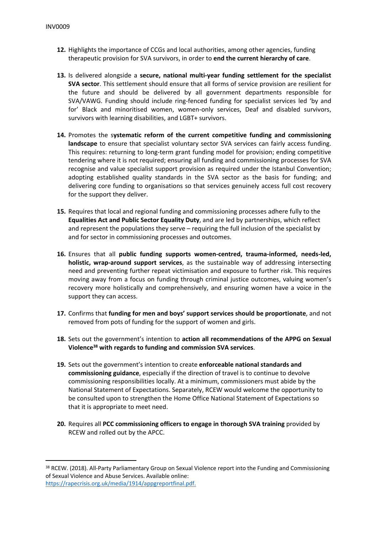- **12.** Highlights the importance of CCGs and local authorities, among other agencies, funding therapeutic provision for SVA survivors, in order to **end the current hierarchy of care**.
- **13.** Is delivered alongside a **secure, national multi-year funding settlement for the specialist SVA sector**. This settlement should ensure that all forms of service provision are resilient for the future and should be delivered by all government departments responsible for SVA/VAWG. Funding should include ring-fenced funding for specialist services led 'by and for' Black and minoritised women, women-only services, Deaf and disabled survivors, survivors with learning disabilities, and LGBT+ survivors.
- **14.** Promotes the s**ystematic reform of the current competitive funding and commissioning landscape** to ensure that specialist voluntary sector SVA services can fairly access funding. This requires: returning to long-term grant funding model for provision; ending competitive tendering where it is not required; ensuring all funding and commissioning processes for SVA recognise and value specialist support provision as required under the Istanbul Convention; adopting established quality standards in the SVA sector as the basis for funding; and delivering core funding to organisations so that services genuinely access full cost recovery for the support they deliver.
- **15.** Requires that local and regional funding and commissioning processes adhere fully to the **Equalities Act and Public Sector Equality Duty**, and are led by partnerships, which reflect and represent the populations they serve – requiring the full inclusion of the specialist by and for sector in commissioning processes and outcomes.
- **16.** Ensures that all **public funding supports women-centred, trauma-informed, needs-led, holistic, wrap-around support services**, as the sustainable way of addressing intersecting need and preventing further repeat victimisation and exposure to further risk. This requires moving away from a focus on funding through criminal justice outcomes, valuing women's recovery more holistically and comprehensively, and ensuring women have a voice in the support they can access.
- **17.** Confirms that **funding for men and boys' support services should be proportionate**, and not removed from pots of funding for the support of women and girls.
- **18.** Sets out the government's intention to **action all recommendations of the APPG on Sexual Violence<sup>38</sup> with regards to funding and commission SVA services**.
- **19.** Sets out the government's intention to create **enforceable national standards and commissioning guidance**, especially if the direction of travel is to continue to devolve commissioning responsibilities locally. At a minimum, commissioners must abide by the National Statement of Expectations. Separately, RCEW would welcome the opportunity to be consulted upon to strengthen the Home Office National Statement of Expectations so that it is appropriate to meet need.
- **20.** Requires all **PCC commissioning officers to engage in thorough SVA training** provided by RCEW and rolled out by the APCC.

<sup>38</sup> RCEW. (2018). All-Party Parliamentary Group on Sexual Violence report into the Funding and Commissioning of Sexual Violence and Abuse Services. Available online: [https://rapecrisis.org.uk/media/1914/appgreportfinal.pdf.](https://rapecrisis.org.uk/media/1914/appgreportfinal.pdf)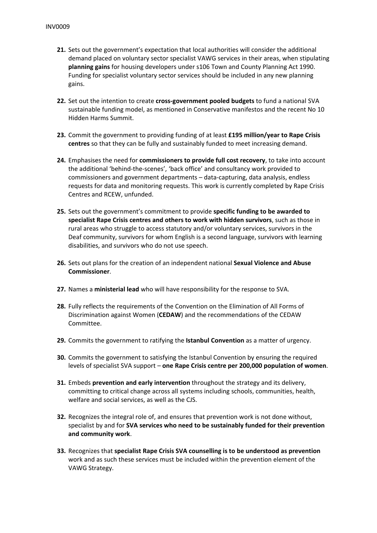- **21.** Sets out the government's expectation that local authorities will consider the additional demand placed on voluntary sector specialist VAWG services in their areas, when stipulating **planning gains** for housing developers under s106 Town and County Planning Act 1990. Funding for specialist voluntary sector services should be included in any new planning gains.
- **22.** Set out the intention to create **cross-government pooled budgets** to fund a national SVA sustainable funding model, as mentioned in Conservative manifestos and the recent No 10 Hidden Harms Summit.
- **23.** Commit the government to providing funding of at least **£195 million/year to Rape Crisis centres** so that they can be fully and sustainably funded to meet increasing demand.
- **24.** Emphasises the need for **commissioners to provide full cost recovery**, to take into account the additional 'behind-the-scenes', 'back office' and consultancy work provided to commissioners and government departments – data-capturing, data analysis, endless requests for data and monitoring requests. This work is currently completed by Rape Crisis Centres and RCEW, unfunded.
- **25.** Sets out the government's commitment to provide **specific funding to be awarded to specialist Rape Crisis centres and others to work with hidden survivors**, such as those in rural areas who struggle to access statutory and/or voluntary services, survivors in the Deaf community, survivors for whom English is a second language, survivors with learning disabilities, and survivors who do not use speech.
- **26.** Sets out plans for the creation of an independent national **Sexual Violence and Abuse Commissioner**.
- **27.** Names a **ministerial lead** who will have responsibility for the response to SVA.
- **28.** Fully reflects the requirements of the Convention on the Elimination of All Forms of Discrimination against Women (**CEDAW**) and the recommendations of the CEDAW Committee.
- **29.** Commits the government to ratifying the **Istanbul Convention** as a matter of urgency.
- **30.** Commits the government to satisfying the Istanbul Convention by ensuring the required levels of specialist SVA support – **one Rape Crisis centre per 200,000 population of women**.
- **31.** Embeds **prevention and early intervention** throughout the strategy and its delivery, committing to critical change across all systems including schools, communities, health, welfare and social services, as well as the CJS.
- **32.** Recognizes the integral role of, and ensures that prevention work is not done without, specialist by and for **SVA services who need to be sustainably funded for their prevention and community work**.
- **33.** Recognizes that **specialist Rape Crisis SVA counselling is to be understood as prevention** work and as such these services must be included within the prevention element of the VAWG Strategy.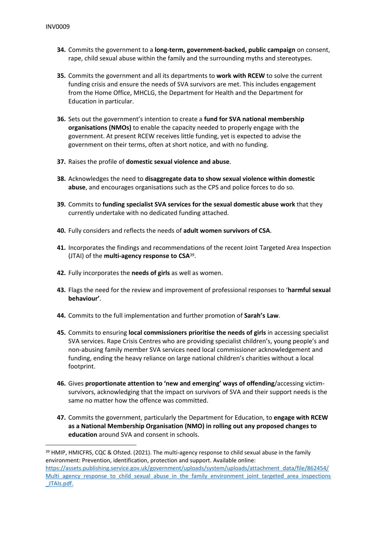- **34.** Commits the government to a **long-term, government-backed, public campaign** on consent, rape, child sexual abuse within the family and the surrounding myths and stereotypes.
- **35.** Commits the government and all its departments to **work with RCEW** to solve the current funding crisis and ensure the needs of SVA survivors are met. This includes engagement from the Home Office, MHCLG, the Department for Health and the Department for Education in particular.
- **36.** Sets out the government's intention to create a **fund for SVA national membership organisations (NMOs)** to enable the capacity needed to properly engage with the government. At present RCEW receives little funding, yet is expected to advise the government on their terms, often at short notice, and with no funding.
- **37.** Raises the profile of **domestic sexual violence and abuse**.
- **38.** Acknowledges the need to **disaggregate data to show sexual violence within domestic abuse**, and encourages organisations such as the CPS and police forces to do so.
- **39.** Commits to **funding specialist SVA services for the sexual domestic abuse work** that they currently undertake with no dedicated funding attached.
- **40.** Fully considers and reflects the needs of **adult women survivors of CSA**.
- **41.** Incorporates the findings and recommendations of the recent Joint Targeted Area Inspection (JTAI) of the **multi-agency response to CSA**<sup>39</sup> .
- **42.** Fully incorporates the **needs of girls** as well as women.
- **43.** Flags the need for the review and improvement of professional responses to '**harmful sexual behaviour'**.
- **44.** Commits to the full implementation and further promotion of **Sarah's Law**.
- **45.** Commits to ensuring **local commissioners prioritise the needs of girls** in accessing specialist SVA services. Rape Crisis Centres who are providing specialist children's, young people's and non-abusing family member SVA services need local commissioner acknowledgement and funding, ending the heavy reliance on large national children's charities without a local footprint.
- **46.** Gives **proportionate attention to 'new and emerging' ways of offending**/accessing victimsurvivors, acknowledging that the impact on survivors of SVA and their support needs is the same no matter how the offence was committed.
- **47.** Commits the government, particularly the Department for Education, to **engage with RCEW as a National Membership Organisation (NMO) in rolling out any proposed changes to education** around SVA and consent in schools.

<sup>&</sup>lt;sup>39</sup> HMIP, HMICFRS, CQC & Ofsted. (2021). The multi-agency response to child sexual abuse in the family environment: Prevention, identification, protection and support. Available online: [https://assets.publishing.service.gov.uk/government/uploads/system/uploads/attachment\\_data/file/862454/](https://assets.publishing.service.gov.uk/government/uploads/system/uploads/attachment_data/file/862454/Multi_agency_response_to_child_sexual_abuse_in_the_family_environment_joint_targeted_area_inspections_JTAIs.pdf) Multi agency response to child sexual abuse in the family environment joint targeted area inspections [\\_JTAIs.pdf](https://assets.publishing.service.gov.uk/government/uploads/system/uploads/attachment_data/file/862454/Multi_agency_response_to_child_sexual_abuse_in_the_family_environment_joint_targeted_area_inspections_JTAIs.pdf).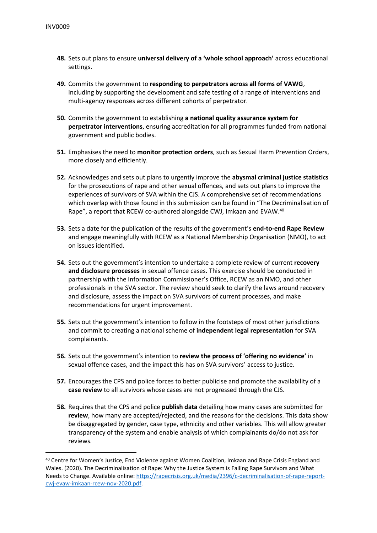- **48.** Sets out plans to ensure **universal delivery of a 'whole school approach'** across educational settings.
- **49.** Commits the government to **responding to perpetrators across all forms of VAWG**, including by supporting the development and safe testing of a range of interventions and multi-agency responses across different cohorts of perpetrator.
- **50.** Commits the government to establishing **a national quality assurance system for perpetrator interventions**, ensuring accreditation for all programmes funded from national government and public bodies.
- **51.** Emphasises the need to **monitor protection orders**, such as Sexual Harm Prevention Orders, more closely and efficiently.
- **52.** Acknowledges and sets out plans to urgently improve the **abysmal criminal justice statistics** for the prosecutions of rape and other sexual offences, and sets out plans to improve the experiences of survivors of SVA within the CJS. A comprehensive set of recommendations which overlap with those found in this submission can be found in "The Decriminalisation of Rape", a report that RCEW co-authored alongside CWJ, Imkaan and EVAW.<sup>40</sup>
- **53.** Sets a date for the publication of the results of the government's **end-to-end Rape Review** and engage meaningfully with RCEW as a National Membership Organisation (NMO), to act on issues identified.
- **54.** Sets out the government's intention to undertake a complete review of current **recovery and disclosure processes** in sexual offence cases. This exercise should be conducted in partnership with the Information Commissioner's Office, RCEW as an NMO, and other professionals in the SVA sector. The review should seek to clarify the laws around recovery and disclosure, assess the impact on SVA survivors of current processes, and make recommendations for urgent improvement.
- **55.** Sets out the government's intention to follow in the footsteps of most other jurisdictions and commit to creating a national scheme of **independent legal representation** for SVA complainants.
- **56.** Sets out the government's intention to **review the process of 'offering no evidence'** in sexual offence cases, and the impact this has on SVA survivors' access to justice.
- **57.** Encourages the CPS and police forces to better publicise and promote the availability of a **case review** to all survivors whose cases are not progressed through the CJS.
- **58.** Requires that the CPS and police **publish data** detailing how many cases are submitted for **review**, how many are accepted/rejected, and the reasons for the decisions. This data show be disaggregated by gender, case type, ethnicity and other variables. This will allow greater transparency of the system and enable analysis of which complainants do/do not ask for reviews.

<sup>40</sup> Centre for Women's Justice, End Violence against Women Coalition, Imkaan and Rape Crisis England and Wales. (2020). The Decriminalisation of Rape: Why the Justice System is Failing Rape Survivors and What Needs to Change. Available online: [https://rapecrisis.org.uk/media/2396/c-decriminalisation-of-rape-report](https://rapecrisis.org.uk/media/2396/c-decriminalisation-of-rape-report-cwj-evaw-imkaan-rcew-nov-2020.pdf)[cwj-evaw-imkaan-rcew-nov-2020.pdf](https://rapecrisis.org.uk/media/2396/c-decriminalisation-of-rape-report-cwj-evaw-imkaan-rcew-nov-2020.pdf).